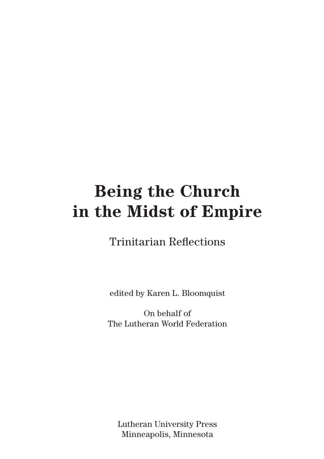# **Being the Church in the Midst of Empire**

Trinitarian Reflections

edited by Karen L. Bloomquist

On behalf of The Lutheran World Federation

Lutheran University Press Minneapolis, Minnesota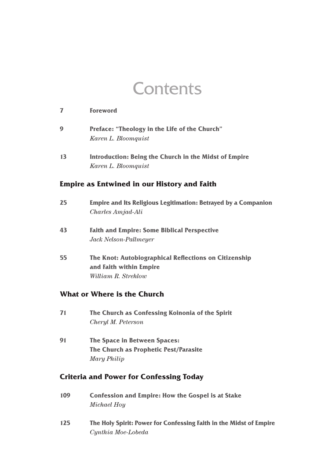## **Contents**

| 7  | <b>Foreword</b>                                                              |
|----|------------------------------------------------------------------------------|
| 9  | <b>Preface: "Theology in the Life of the Church"</b><br>Karen L. Bloomquist  |
| 13 | Introduction: Being the Church in the Midst of Empire<br>Karen L. Bloomquist |

#### **Empire as Entwined in our History and Faith**

| 25                          | <b>Empire and Its Religious Legitimation: Betrayed by a Companion</b><br>Charles Amjad-Ali              |  |
|-----------------------------|---------------------------------------------------------------------------------------------------------|--|
| 43                          | <b>Faith and Empire: Some Biblical Perspective</b><br>Jack Nelson-Pallmeyer                             |  |
| 55                          | The Knot: Autobiographical Reflections on Citizenship<br>and Faith within Empire<br>William R. Strehlow |  |
| What or Where is the Church |                                                                                                         |  |

- **71 The Church as Confessing Koinonia of the Spirit** *Cheryl M. Peterson*
- **91 The Space in Between Spaces: The Church as Prophetic Pest/Parasite** *Mary Philip*

### **Criteria and Power for Confessing Today**

| 109 | <b>Confession and Empire: How the Gospel is at Stake</b><br>Michael Hoy                  |
|-----|------------------------------------------------------------------------------------------|
| 125 | The Holy Spirit: Power for Confessing Faith in the Midst of Empire<br>Cynthia Moe-Lobeda |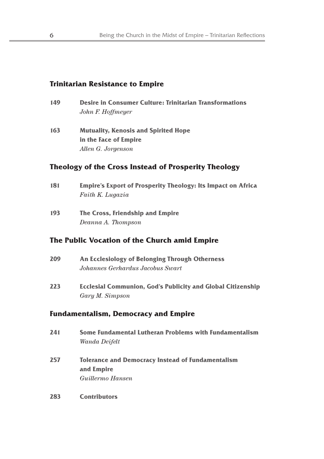#### **Trinitarian Resistance to Empire**

- **149 Desire in Consumer Culture: Trinitarian Transformations** *John F. Hoffmeyer*
- **163 Mutuality, Kenosis and Spirited Hope in the Face of Empire** *Allen G. Jorgenson*

#### **Theology of the Cross Instead of Prosperity Theology**

- **181 Empire's Export of Prosperity Theology: Its Impact on Africa** *Faith K. Lugazia*
- **193 The Cross, Friendship and Empire** *Deanna A. Thompson*

#### **The Public Vocation of the Church amid Empire**

| 209 | An Ecclesiology of Belonging Through Otherness<br>Johannes Gerhardus Jacobus Swart    |
|-----|---------------------------------------------------------------------------------------|
| 223 | <b>Ecclesial Communion, God's Publicity and Global Citizenship</b><br>Gary M. Simpson |
|     | Fundamentalism, Democracy and Empire                                                  |
| 241 | Some Fundamental Lutheran Problems with Fundamentalism<br>Wanda Deifelt               |

- **257 Tolerance and Democracy Instead of Fundamentalism and Empire**  *Guillermo Hansen*
- **283 Contributors**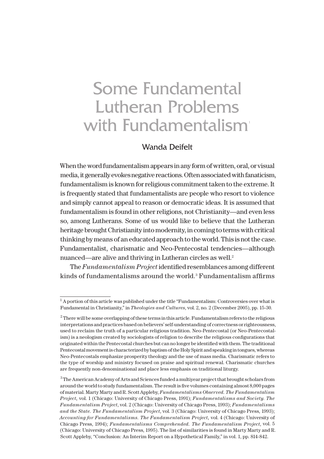## Some Fundamental Lutheran Problems with Fundamentalism<sup>®</sup>

#### Wanda Deifelt

When the word fundamentalism appears in any form of written, oral, or visual media, it generally evokes negative reactions. Often associated with fanaticism, fundamentalism is known for religious commitment taken to the extreme. It is frequently stated that fundamentalists are people who resort to violence and simply cannot appeal to reason or democratic ideas. It is assumed that fundamentalism is found in other religions, not Christianity—and even less so, among Lutherans. Some of us would like to believe that the Lutheran heritage brought Christianity into modernity, in coming to terms with critical thinking by means of an educated approach to the world. This is not the case. Fundamentalist, charismatic and Neo-Pentecostal tendencies—although nuanced—are alive and thriving in Lutheran circles as well.<sup>2</sup>

The *Fundamentalism Project* identified resemblances among different kinds of fundamentalisms around the world.<sup>3</sup> Fundamentalism affirms

<sup>&</sup>lt;sup>1</sup> A portion of this article was published under the title "Fundamentalism: Controversies over what is Fundamental in Christianity," in *Theologies and Cultures*, vol. 2, no. 2 (December 2005), pp. 15-30.

 $^2$  There will be some overlapping of these terms in this article. Fundamentalism refers to the religious interpretations and practices based on believers' self-understanding of correctness or righteousness, used to reclaim the truth of a particular religious tradition. Neo-Pentecostal (or Neo-Pentecostalism) is a neologism created by sociologists of religion to describe the religious configurations that originated within the Pentecostal churches but can no longer be identified with them. The traditional Pentecostal movement is characterized by baptism of the Holy Spirit and speaking in tongues, whereas Neo-Pentecostals emphasize prosperity theology and the use of mass media. Charismatic refers to the type of worship and ministry focused on praise and spiritual renewal. Charismatic churches are frequently non-denominational and place less emphasis on traditional liturgy.

 $^3$  The American Academy of Arts and Sciences funded a multiyear project that brought scholars from around the world to study fundamentalism. The result is five volumes containing almost 8,000 pages of material. Marty Marty and R. Scott Appleby, *Fundamentalisms Observed. The Fundamentalism Project,* vol. 1 (Chicago: University of Chicago Press, 1991); *Fundamentalisms and Society. The Fundamentalism Project*, vol. 2 (Chicago: University of Chicago Press, 1993); *Fundamentalisms and the State. The Fundamentalism Project*, vol. 3 (Chicago: University of Chicago Press, 1993); *Accounting for Fundamentalisms. The Fundamentalism Project,* vol. 4 (Chicago: University of Chicago Press, 1994); *Fundamentalisms Comprehended. The Fundamentalism Project*, vol. 5 (Chicago: University of Chicago Press, 1995). The list of similarities is found in Marty Marty and R. Scott Appleby, "Conclusion: An Interim Report on a Hypothetical Family," in vol. 1, pp. 814-842.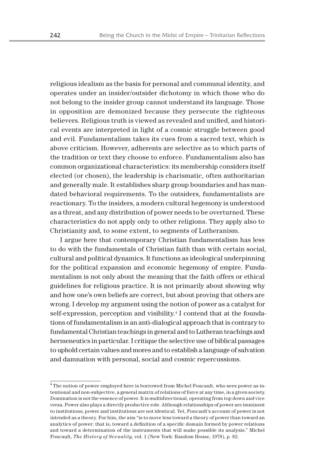religious idealism as the basis for personal and communal identity, and operates under an insider/outsider dichotomy in which those who do not belong to the insider group cannot understand its language. Those in opposition are demonized because they persecute the righteous believers. Religious truth is viewed as revealed and unified, and historical events are interpreted in light of a cosmic struggle between good and evil. Fundamentalism takes its cues from a sacred text, which is above criticism. However, adherents are selective as to which parts of the tradition or text they choose to enforce. Fundamentalism also has common organizational characteristics: its membership considers itself elected (or chosen), the leadership is charismatic, often authoritarian and generally male. It establishes sharp group boundaries and has mandated behavioral requirements. To the outsiders, fundamentalists are reactionary. To the insiders, a modern cultural hegemony is understood as a threat, and any distribution of power needs to be overturned. These characteristics do not apply only to other religions. They apply also to Christianity and, to some extent, to segments of Lutheranism.

I argue here that contemporary Christian fundamentalism has less to do with the fundamentals of Christian faith than with certain social, cultural and political dynamics. It functions as ideological underpinning for the political expansion and economic hegemony of empire. Fundamentalism is not only about the meaning that the faith offers or ethical guidelines for religious practice. It is not primarily about showing why and how one's own beliefs are correct, but about proving that others are wrong. I develop my argument using the notion of power as a catalyst for self-expression, perception and visibility.<sup>4</sup> I contend that at the foundations of fundamentalism is an anti-dialogical approach that is contrary to fundamental Christian teachings in general and to Lutheran teachings and hermeneutics in particular. I critique the selective use of biblical passages to uphold certain values and mores and to establish a language of salvation and damnation with personal, social and cosmic repercussions.

 $^4$  The notion of power employed here is borrowed from Michel Foucault, who sees power as intentional and non-subjective, a general matrix of relations of force at any time, in a given society. Domination is not the essence of power. It is multidirectional, operating from top down and vice versa. Power also plays a directly productive role. Although relationships of power are imminent to institutions, power and institutions are not identical. Yet, Foucault's account of power is not intended as a theory. For him, the aim "is to move less toward a theory of power than toward an analytics of power: that is, toward a definition of a specific domain formed by power relations and toward a determination of the instruments that will make possible its analysis." Michel Foucault, *The History of Sexuality*, vol. 1 (New York: Random House, 1978), p. 82.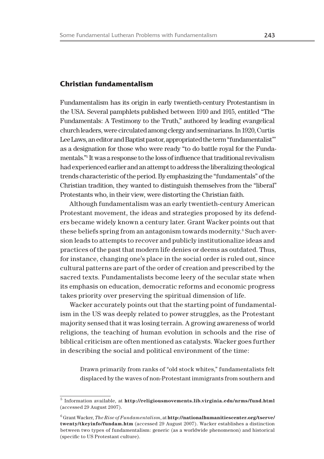### **Christian fundamentalism**

Fundamentalism has its origin in early twentieth-century Protestantism in the USA. Several pamphlets published between 1910 and 1915, entitled "The Fundamentals: A Testimony to the Truth," authored by leading evangelical church leaders, were circulated among clergy and seminarians. In 1920, Curtis Lee Laws, an editor and Baptist pastor, appropriated the term "fundamentalist"' as a designation for those who were ready "to do battle royal for the Fundamentals."<sup>5</sup> It was a response to the loss of influence that traditional revivalism had experienced earlier and an attempt to address the liberalizing theological trends characteristic of the period. By emphasizing the "fundamentals" of the Christian tradition, they wanted to distinguish themselves from the "liberal" Protestants who, in their view, were distorting the Christian faith.

Although fundamentalism was an early twentieth-century American Protestant movement, the ideas and strategies proposed by its defenders became widely known a century later. Grant Wacker points out that these beliefs spring from an antagonism towards modernity.<sup>6</sup> Such aversion leads to attempts to recover and publicly institutionalize ideas and practices of the past that modern life denies or deems as outdated. Thus, for instance, changing one's place in the social order is ruled out, since cultural patterns are part of the order of creation and prescribed by the sacred texts. Fundamentalists become leery of the secular state when its emphasis on education, democratic reforms and economic progress takes priority over preserving the spiritual dimension of life.

Wacker accurately points out that the starting point of fundamentalism in the US was deeply related to power struggles, as the Protestant majority sensed that it was losing terrain. A growing awareness of world religions, the teaching of human evolution in schools and the rise of biblical criticism are often mentioned as catalysts. Wacker goes further in describing the social and political environment of the time:

Drawn primarily from ranks of "old stock whites," fundamentalists felt displaced by the waves of non-Protestant immigrants from southern and

<sup>5</sup> Information available, at **http://religiousmovements.lib.virginia.edu/nrms/fund.html** (accessed 29 August 2007).

<sup>6</sup> Grant Wacker, *The Rise of Fundamentalism*, at **http://nationalhumanitiescenter.org/tserve/ twenty/tkeyinfo/fundam.htm** (accessed 29 August 2007). Wacker establishes a distinction between two types of fundamentalism: generic (as a worldwide phenomenon) and historical (specific to US Protestant culture).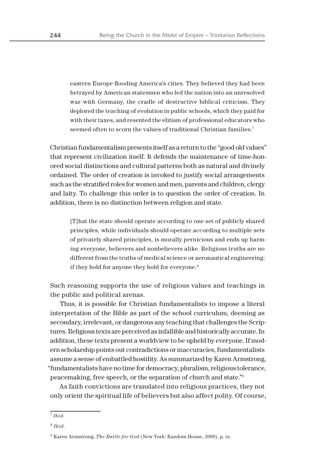eastern Europe flooding America's cities. They believed they had been betrayed by American statesmen who led the nation into an unresolved war with Germany, the cradle of destructive biblical criticism. They deplored the teaching of evolution in public schools, which they paid for with their taxes, and resented the elitism of professional educators who seemed often to scorn the values of traditional Christian families.<sup>7</sup>

Christian fundamentalism presents itself as a return to the "good old values" that represent civilization itself. It defends the maintenance of time-honored social distinctions and cultural patterns both as natural and divinely ordained. The order of creation is invoked to justify social arrangements such as the stratified roles for women and men, parents and children, clergy and laity. To challenge this order is to question the order of creation. In addition, there is no distinction between religion and state.

[T]hat the state should operate according to one set of publicly shared principles, while individuals should operate according to multiple sets of privately shared principles, is morally pernicious and ends up harming everyone, believers and nonbelievers alike. Religious truths are no different from the truths of medical science or aeronautical engineering: if they hold for anyone they hold for everyone.<sup>8</sup>

Such reasoning supports the use of religious values and teachings in the public and political arenas.

Thus, it is possible for Christian fundamentalists to impose a literal interpretation of the Bible as part of the school curriculum, deeming as secondary, irrelevant, or dangerous any teaching that challenges the Scriptures. Religious texts are perceived as infallible and historically accurate. In addition, these texts present a worldview to be upheld by everyone. If modern scholarship points out contradictions or inaccuracies, fundamentalists assume a sense of embattled hostility. As summarized by Karen Armstrong, "fundamentalists have no time for democracy, pluralism, religious tolerance, peacemaking, free speech, or the separation of church and state."<sup>9</sup>

As faith convictions are translated into religious practices, they not only orient the spiritual life of believers but also affect polity. Of course,

<sup>7</sup> *Ibid*.

<sup>8</sup> *Ibid*.

<sup>9</sup> Karen Armstrong, *The Battle for God* (New York: Random House, 2000), p. ix.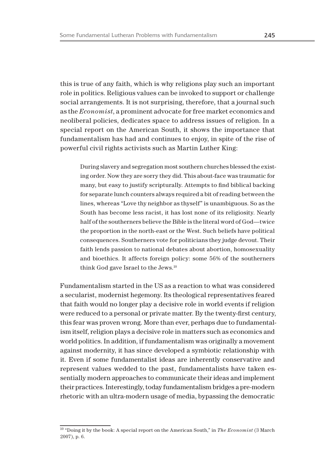this is true of any faith, which is why religions play such an important role in politics. Religious values can be invoked to support or challenge social arrangements. It is not surprising, therefore, that a journal such as the *Economist*, a prominent advocate for free market economics and neoliberal policies, dedicates space to address issues of religion. In a special report on the American South, it shows the importance that fundamentalism has had and continues to enjoy, in spite of the rise of powerful civil rights activists such as Martin Luther King:

During slavery and segregation most southern churches blessed the existing order. Now they are sorry they did. This about-face was traumatic for many, but easy to justify scripturally. Attempts to find biblical backing for separate lunch counters always required a bit of reading between the lines, whereas "Love thy neighbor as thyself" is unambiguous. So as the South has become less racist, it has lost none of its religiosity. Nearly half of the southerners believe the Bible is the literal word of God—twice the proportion in the north-east or the West. Such beliefs have political consequences. Southerners vote for politicians they judge devout. Their faith lends passion to national debates about abortion, homosexuality and bioethics. It affects foreign policy: some 56% of the southerners think God gave Israel to the Jews.<sup>10</sup>

Fundamentalism started in the US as a reaction to what was considered a secularist, modernist hegemony. Its theological representatives feared that faith would no longer play a decisive role in world events if religion were reduced to a personal or private matter. By the twenty-first century, this fear was proven wrong. More than ever, perhaps due to fundamentalism itself, religion plays a decisive role in matters such as economics and world politics. In addition, if fundamentalism was originally a movement against modernity, it has since developed a symbiotic relationship with it. Even if some fundamentalist ideas are inherently conservative and represent values wedded to the past, fundamentalists have taken essentially modern approaches to communicate their ideas and implement their practices. Interestingly, today fundamentalism bridges a pre-modern rhetoric with an ultra-modern usage of media, bypassing the democratic

<sup>10</sup> "Doing it by the book: A special report on the American South," in *The Economist* (3 March 2007), p. 6.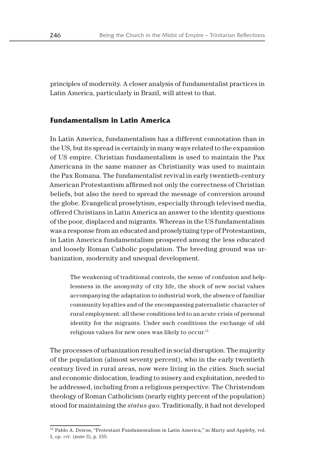principles of modernity. A closer analysis of fundamentalist practices in Latin America, particularly in Brazil, will attest to that.

#### **Fundamentalism in Latin America**

In Latin America, fundamentalism has a different connotation than in the US, but its spread is certainly in many ways related to the expansion of US empire. Christian fundamentalism is used to maintain the Pax Americana in the same manner as Christianity was used to maintain the Pax Romana. The fundamentalist revival in early twentieth-century American Protestantism affirmed not only the correctness of Christian beliefs, but also the need to spread the message of conversion around the globe. Evangelical proselytism, especially through televised media, offered Christians in Latin America an answer to the identity questions of the poor, displaced and migrants. Whereas in the US fundamentalism was a response from an educated and proselytizing type of Protestantism, in Latin America fundamentalism prospered among the less educated and loosely Roman Catholic population. The breeding ground was urbanization, modernity and unequal development.

The weakening of traditional controls, the sense of confusion and helplessness in the anonymity of city life, the shock of new social values accompanying the adaptation to industrial work, the absence of familiar community loyalties and of the encompassing paternalistic character of rural employment: all these conditions led to an acute crisis of personal identity for the migrants. Under such conditions the exchange of old religious values for new ones was likely to occur.<sup>11</sup>

The processes of urbanization resulted in social disruption. The majority of the population (almost seventy percent), who in the early twentieth century lived in rural areas, now were living in the cities. Such social and economic dislocation, leading to misery and exploitation, needed to be addressed, including from a religious perspective. The Christendom theology of Roman Catholicism (nearly eighty percent of the population) stood for maintaining the *status quo*. Traditionally, it had not developed

<sup>&</sup>lt;sup>11</sup> Pablo A. Deiros, "Protestant Fundamentalism in Latin America," in Marty and Appleby, vol. 1, *op. cit.* (note 3), p. 155.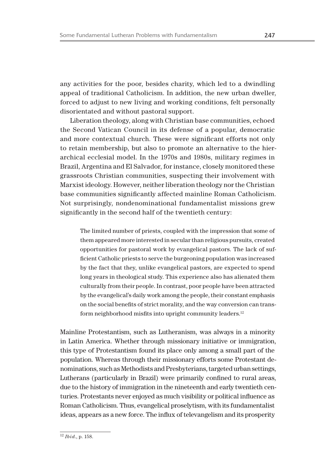any activities for the poor, besides charity, which led to a dwindling appeal of traditional Catholicism. In addition, the new urban dweller, forced to adjust to new living and working conditions, felt personally disorientated and without pastoral support.

Liberation theology, along with Christian base communities, echoed the Second Vatican Council in its defense of a popular, democratic and more contextual church. These were significant efforts not only to retain membership, but also to promote an alternative to the hierarchical ecclesial model. In the 1970s and 1980s, military regimes in Brazil, Argentina and El Salvador, for instance, closely monitored these grassroots Christian communities, suspecting their involvement with Marxist ideology. However, neither liberation theology nor the Christian base communities significantly affected mainline Roman Catholicism. Not surprisingly, nondenominational fundamentalist missions grew significantly in the second half of the twentieth century:

The limited number of priests, coupled with the impression that some of them appeared more interested in secular than religious pursuits, created opportunities for pastoral work by evangelical pastors. The lack of sufficient Catholic priests to serve the burgeoning population was increased by the fact that they, unlike evangelical pastors, are expected to spend long years in theological study. This experience also has alienated them culturally from their people. In contrast, poor people have been attracted by the evangelical's daily work among the people, their constant emphasis on the social benefits of strict morality, and the way conversion can transform neighborhood misfits into upright community leaders.<sup>12</sup>

Mainline Protestantism, such as Lutheranism, was always in a minority in Latin America. Whether through missionary initiative or immigration, this type of Protestantism found its place only among a small part of the population. Whereas through their missionary efforts some Protestant denominations, such as Methodists and Presbyterians, targeted urban settings, Lutherans (particularly in Brazil) were primarily confined to rural areas, due to the history of immigration in the nineteenth and early twentieth centuries. Protestants never enjoyed as much visibility or political influence as Roman Catholicism. Thus, evangelical proselytism, with its fundamentalist ideas, appears as a new force. The influx of televangelism and its prosperity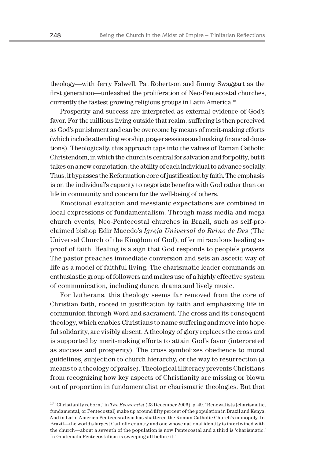theology—with Jerry Falwell, Pat Robertson and Jimmy Swaggart as the first generation—unleashed the proliferation of Neo-Pentecostal churches, currently the fastest growing religious groups in Latin America.<sup>13</sup>

Prosperity and success are interpreted as external evidence of God's favor. For the millions living outside that realm, suffering is then perceived as God's punishment and can be overcome by means of merit-making efforts (which include attending worship, prayer sessions and making financial donations). Theologically, this approach taps into the values of Roman Catholic Christendom, in which the church is central for salvation and for polity, but it takes on a new connotation: the ability of each individual to advance socially. Thus, it bypasses the Reformation core of justification by faith. The emphasis is on the individual's capacity to negotiate benefits with God rather than on life in community and concern for the well-being of others.

Emotional exaltation and messianic expectations are combined in local expressions of fundamentalism. Through mass media and mega church events, Neo-Pentecostal churches in Brazil, such as self-proclaimed bishop Edir Macedo's *Igreja Universal do Reino de Des* (The Universal Church of the Kingdom of God), offer miraculous healing as proof of faith. Healing is a sign that God responds to people's prayers. The pastor preaches immediate conversion and sets an ascetic way of life as a model of faithful living. The charismatic leader commands an enthusiastic group of followers and makes use of a highly effective system of communication, including dance, drama and lively music.

For Lutherans, this theology seems far removed from the core of Christian faith, rooted in justification by faith and emphasizing life in communion through Word and sacrament. The cross and its consequent theology, which enables Christians to name suffering and move into hopeful solidarity, are visibly absent. A theology of glory replaces the cross and is supported by merit-making efforts to attain God's favor (interpreted as success and prosperity). The cross symbolizes obedience to moral guidelines, subjection to church hierarchy, or the way to resurrection (a means to a theology of praise). Theological illiteracy prevents Christians from recognizing how key aspects of Christianity are missing or blown out of proportion in fundamentalist or charismatic theologies. But that

<sup>13</sup> "Christianity reborn," in *The Economist* (23 December 2006), p. 49. "Renewalists [charismatic, fundamental, or Pentecostal] make up around fifty percent of the population in Brazil and Kenya. And in Latin America Pentecostalism has shattered the Roman Catholic Church's monopoly. In Brazil—the world's largest Catholic country and one whose national identity is intertwined with the church—about a seventh of the population is now Pentecostal and a third is 'charismatic.' In Guatemala Pentecostalism is sweeping all before it."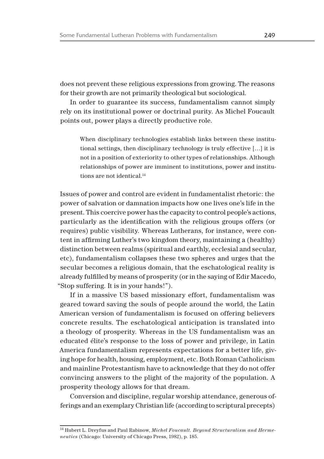does not prevent these religious expressions from growing. The reasons for their growth are not primarily theological but sociological.

In order to guarantee its success, fundamentalism cannot simply rely on its institutional power or doctrinal purity. As Michel Foucault points out, power plays a directly productive role.

When disciplinary technologies establish links between these institutional settings, then disciplinary technology is truly effective […] it is not in a position of exteriority to other types of relationships. Although relationships of power are imminent to institutions, power and institutions are not identical.<sup>14</sup>

Issues of power and control are evident in fundamentalist rhetoric: the power of salvation or damnation impacts how one lives one's life in the present. This coercive power has the capacity to control people's actions, particularly as the identification with the religious groups offers (or requires) public visibility. Whereas Lutherans, for instance, were content in affirming Luther's two kingdom theory, maintaining a (healthy) distinction between realms (spiritual and earthly, ecclesial and secular, etc), fundamentalism collapses these two spheres and urges that the secular becomes a religious domain, that the eschatological reality is already fulfilled by means of prosperity (or in the saying of Edir Macedo, "Stop suffering. It is in your hands!").

If in a massive US based missionary effort, fundamentalism was geared toward saving the souls of people around the world, the Latin American version of fundamentalism is focused on offering believers concrete results. The eschatological anticipation is translated into a theology of prosperity. Whereas in the US fundamentalism was an educated élite's response to the loss of power and privilege, in Latin America fundamentalism represents expectations for a better life, giving hope for health, housing, employment, etc. Both Roman Catholicism and mainline Protestantism have to acknowledge that they do not offer convincing answers to the plight of the majority of the population. A prosperity theology allows for that dream.

Conversion and discipline, regular worship attendance, generous offerings and an exemplary Christian life (according to scriptural precepts)

<sup>14</sup> Hubert L. Dreyfus and Paul Rabinow, *Michel Foucault. Beyond Structuralism and Hermeneutics* (Chicago: University of Chicago Press, 1982), p. 185.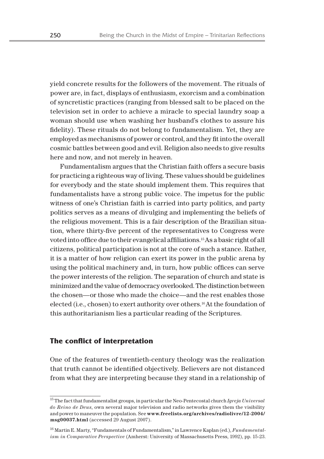yield concrete results for the followers of the movement. The rituals of power are, in fact, displays of enthusiasm, exorcism and a combination of syncretistic practices (ranging from blessed salt to be placed on the television set in order to achieve a miracle to special laundry soap a woman should use when washing her husband's clothes to assure his fidelity). These rituals do not belong to fundamentalism. Yet, they are employed as mechanisms of power or control, and they fit into the overall cosmic battles between good and evil. Religion also needs to give results here and now, and not merely in heaven.

Fundamentalism argues that the Christian faith offers a secure basis for practicing a righteous way of living. These values should be guidelines for everybody and the state should implement them. This requires that fundamentalists have a strong public voice. The impetus for the public witness of one's Christian faith is carried into party politics, and party politics serves as a means of divulging and implementing the beliefs of the religious movement. This is a fair description of the Brazilian situation, where thirty-five percent of the representatives to Congress were voted into office due to their evangelical affiliations.15 As a basic right of all citizens, political participation is not at the core of such a stance. Rather, it is a matter of how religion can exert its power in the public arena by using the political machinery and, in turn, how public offices can serve the power interests of the religion. The separation of church and state is minimized and the value of democracy overlooked. The distinction between the chosen—or those who made the choice—and the rest enables those elected (i.e., chosen) to exert authority over others.16 At the foundation of this authoritarianism lies a particular reading of the Scriptures.

#### **The conflict of interpretation**

One of the features of twentieth-century theology was the realization that truth cannot be identified objectively. Believers are not distanced from what they are interpreting because they stand in a relationship of

<sup>15</sup> The fact that fundamentalist groups, in particular the Neo-Pentecostal church *Igreja Universal do Reino de Deus*, own several major television and radio networks gives them the visibility and power to maneuver the population. See **www.freelists.org/archives/radiolivre/12-2004/ msg00037.html** (accessed 29 August 2007).

<sup>16</sup> Martin E. Marty, "Fundamentals of Fundamentalism," in Lawrence Kaplan (ed.), *Fundamentalism in Comparative Perspective* (Amherst: University of Massachusetts Press, 1992), pp. 15-23.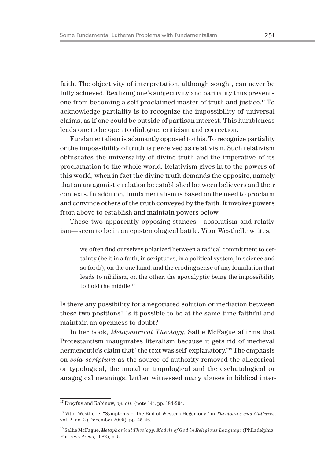faith. The objectivity of interpretation, although sought, can never be fully achieved. Realizing one's subjectivity and partiality thus prevents one from becoming a self-proclaimed master of truth and justice.17 To acknowledge partiality is to recognize the impossibility of universal claims, as if one could be outside of partisan interest. This humbleness leads one to be open to dialogue, criticism and correction.

Fundamentalism is adamantly opposed to this. To recognize partiality or the impossibility of truth is perceived as relativism. Such relativism obfuscates the universality of divine truth and the imperative of its proclamation to the whole world. Relativism gives in to the powers of this world, when in fact the divine truth demands the opposite, namely that an antagonistic relation be established between believers and their contexts. In addition, fundamentalism is based on the need to proclaim and convince others of the truth conveyed by the faith. It invokes powers from above to establish and maintain powers below.

These two apparently opposing stances—absolutism and relativism—seem to be in an epistemological battle. Vítor Westhelle writes,

we often find ourselves polarized between a radical commitment to certainty (be it in a faith, in scriptures, in a political system, in science and so forth), on the one hand, and the eroding sense of any foundation that leads to nihilism, on the other, the apocalyptic being the impossibility to hold the middle.<sup>18</sup>

Is there any possibility for a negotiated solution or mediation between these two positions? Is it possible to be at the same time faithful and maintain an openness to doubt?

In her book, *Metaphorical Theology*, Sallie McFague affirms that Protestantism inaugurates literalism because it gets rid of medieval hermeneutic's claim that "the text was self-explanatory."19 The emphasis on *sola scriptura* as the source of authority removed the allegorical or typological, the moral or tropological and the eschatological or anagogical meanings. Luther witnessed many abuses in biblical inter-

<sup>17</sup> Dreyfus and Rabinow, *op. cit.* (note 14), pp. 184-204.

<sup>18</sup> Vítor Westhelle, "Symptoms of the End of Western Hegemony," in *Theologies and Cultures*, vol. 2, no. 2 (December 2005), pp. 45-46.

<sup>19</sup> Sallie McFague, *Metaphorical Theology: Models of God in Religious Language* (Philadelphia: Fortress Press, 1982), p. 5.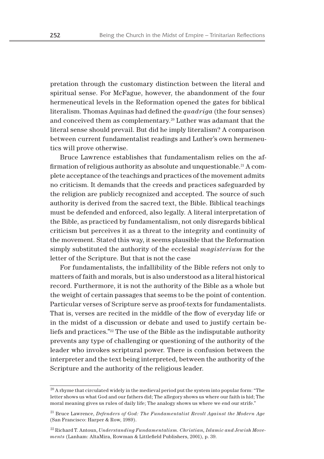pretation through the customary distinction between the literal and spiritual sense. For McFague, however, the abandonment of the four hermeneutical levels in the Reformation opened the gates for biblical literalism. Thomas Aquinas had defined the *quadriga* (the four senses) and conceived them as complementary.20 Luther was adamant that the literal sense should prevail. But did he imply literalism? A comparison between current fundamentalist readings and Luther's own hermeneutics will prove otherwise.

Bruce Lawrence establishes that fundamentalism relies on the affirmation of religious authority as absolute and unquestionable.<sup>21</sup> A complete acceptance of the teachings and practices of the movement admits no criticism. It demands that the creeds and practices safeguarded by the religion are publicly recognized and accepted. The source of such authority is derived from the sacred text, the Bible. Biblical teachings must be defended and enforced, also legally. A literal interpretation of the Bible, as practiced by fundamentalism, not only disregards biblical criticism but perceives it as a threat to the integrity and continuity of the movement. Stated this way, it seems plausible that the Reformation simply substituted the authority of the ecclesial *magisterium* for the letter of the Scripture. But that is not the case

For fundamentalists, the infallibility of the Bible refers not only to matters of faith and morals, but is also understood as a literal historical record. Furthermore, it is not the authority of the Bible as a whole but the weight of certain passages that seems to be the point of contention. Particular verses of Scripture serve as proof-texts for fundamentalists. That is, verses are recited in the middle of the flow of everyday life or in the midst of a discussion or debate and used to justify certain beliefs and practices."22 The use of the Bible as the indisputable authority prevents any type of challenging or questioning of the authority of the leader who invokes scriptural power. There is confusion between the interpreter and the text being interpreted, between the authority of the Scripture and the authority of the religious leader.

 $20$  A rhyme that circulated widely in the medieval period put the system into popular form: "The letter shows us what God and our fathers did; The allegory shows us where our faith is hid; The moral meaning gives us rules of daily life; The analogy shows us where we end our strife."

<sup>21</sup> Bruce Lawrence, *Defenders of God: The Fundamentalist Revolt Against the Modern Age* (San Francisco: Harper & Row, 1989).

<sup>22</sup> Richard T. Antoun, *Understanding Fundamentalism. Christian, Islamic and Jewish Movements* (Lanham: AltaMira, Rowman & Littlefield Publishers, 2001), p. 39.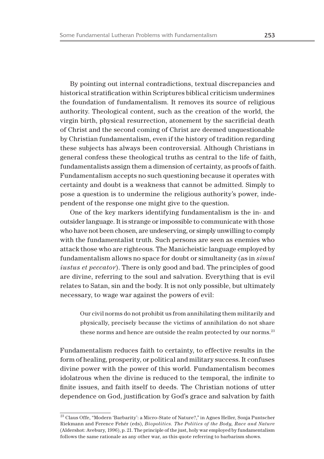By pointing out internal contradictions, textual discrepancies and historical stratification within Scriptures biblical criticism undermines the foundation of fundamentalism. It removes its source of religious authority. Theological content, such as the creation of the world, the virgin birth, physical resurrection, atonement by the sacrificial death of Christ and the second coming of Christ are deemed unquestionable by Christian fundamentalism, even if the history of tradition regarding these subjects has always been controversial. Although Christians in general confess these theological truths as central to the life of faith, fundamentalists assign them a dimension of certainty, as proofs of faith. Fundamentalism accepts no such questioning because it operates with certainty and doubt is a weakness that cannot be admitted. Simply to pose a question is to undermine the religious authority's power, independent of the response one might give to the question.

One of the key markers identifying fundamentalism is the in- and outsider language. It is strange or impossible to communicate with those who have not been chosen, are undeserving, or simply unwilling to comply with the fundamentalist truth. Such persons are seen as enemies who attack those who are righteous. The Manicheistic language employed by fundamentalism allows no space for doubt or simultaneity (as in *simul iustus et peccator*). There is only good and bad. The principles of good are divine, referring to the soul and salvation. Everything that is evil relates to Satan, sin and the body. It is not only possible, but ultimately necessary, to wage war against the powers of evil:

Our civil norms do not prohibit us from annihilating them militarily and physically, precisely because the victims of annihilation do not share these norms and hence are outside the realm protected by our norms.<sup>23</sup>

Fundamentalism reduces faith to certainty, to effective results in the form of healing, prosperity, or political and military success. It confuses divine power with the power of this world. Fundamentalism becomes idolatrous when the divine is reduced to the temporal, the infinite to finite issues, and faith itself to deeds. The Christian notions of utter dependence on God, justification by God's grace and salvation by faith

<sup>&</sup>lt;sup>23</sup> Claus Offe, "Modern 'Barbarity': a Micro-State of Nature?," in Agnes Heller, Sonja Puntscher Riekmann and Ference Fehér (eds), *Biopolitics. The Politics of the Body, Race and Nature*  (Aldershot: Avebury, 1996), p. 21. The principle of the just, holy war employed by fundamentalism follows the same rationale as any other war, as this quote referring to barbarism shows.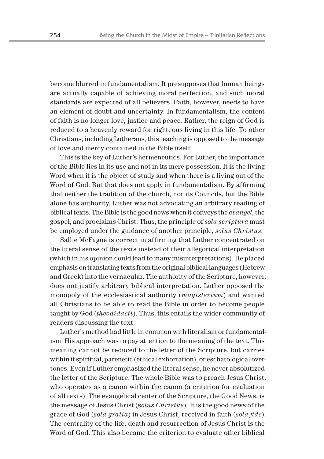become blurred in fundamentalism. It presupposes that human beings are actually capable of achieving moral perfection, and such moral standards are expected of all believers. Faith, however, needs to have an element of doubt and uncertainty. In fundamentalism, the content of faith is no longer love, justice and peace. Rather, the reign of God is reduced to a heavenly reward for righteous living in this life. To other Christians, including Lutherans, this teaching is opposed to the message of love and mercy contained in the Bible itself.

This is the key of Luther's hermeneutics. For Luther, the importance of the Bible lies in its use and not in its mere possession. It is the living Word when it is the object of study and when there is a living out of the Word of God. But that does not apply in fundamentalism. By affirming that neither the tradition of the church, nor its Councils, but the Bible alone has authority, Luther was not advocating an arbitrary reading of biblical texts. The Bible is the good news when it conveys the *evangel*, the gospel, and proclaims Christ. Thus, the principle of *sola scriptura* must be employed under the guidance of another principle, *solus Christus*.

Sallie McFague is correct in affirming that Luther concentrated on the literal sense of the texts instead of their allegorical interpretation (which in his opinion could lead to many misinterpretations). He placed emphasis on translating texts from the original biblical languages (Hebrew and Greek) into the vernacular. The authority of the Scripture, however, does not justify arbitrary biblical interpretation. Luther opposed the monopoly of the ecclesiastical authority (*magisterium*) and wanted all Christians to be able to read the Bible in order to become people taught by God (*theodidacti*). Thus, this entails the wider community of readers discussing the text.

Luther's method had little in common with literalism or fundamentalism. His approach was to pay attention to the meaning of the text. This meaning cannot be reduced to the letter of the Scripture, but carries within it spiritual, parenetic (ethical exhortation), or eschatological overtones. Even if Luther emphasized the literal sense, he never absolutized the letter of the Scripture. The whole Bible was to preach Jesus Christ, who operates as a canon within the canon (a criterion for evaluation of all texts). The evangelical center of the Scripture, the Good News, is the message of Jesus Christ (s*olus Christus*)*.* It is the good news of the grace of God (*sola gratia*) in Jesus Christ, received in faith (*sola fide*). The centrality of the life, death and resurrection of Jesus Christ is the Word of God. This also became the criterion to evaluate other biblical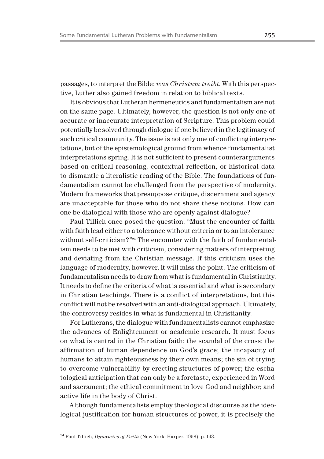passages, to interpret the Bible: *was Christum treibt*. With this perspective, Luther also gained freedom in relation to biblical texts.

It is obvious that Lutheran hermeneutics and fundamentalism are not on the same page. Ultimately, however, the question is not only one of accurate or inaccurate interpretation of Scripture. This problem could potentially be solved through dialogue if one believed in the legitimacy of such critical community. The issue is not only one of conflicting interpretations, but of the epistemological ground from whence fundamentalist interpretations spring. It is not sufficient to present counterarguments based on critical reasoning, contextual reflection, or historical data to dismantle a literalistic reading of the Bible. The foundations of fundamentalism cannot be challenged from the perspective of modernity. Modern frameworks that presuppose critique, discernment and agency are unacceptable for those who do not share these notions. How can one be dialogical with those who are openly against dialogue?

Paul Tillich once posed the question, "Must the encounter of faith with faith lead either to a tolerance without criteria or to an intolerance without self-criticism?"24 The encounter with the faith of fundamentalism needs to be met with criticism, considering matters of interpreting and deviating from the Christian message. If this criticism uses the language of modernity, however, it will miss the point. The criticism of fundamentalism needs to draw from what is fundamental in Christianity. It needs to define the criteria of what is essential and what is secondary in Christian teachings. There is a conflict of interpretations, but this conflict will not be resolved with an anti-dialogical approach. Ultimately, the controversy resides in what is fundamental in Christianity.

For Lutherans, the dialogue with fundamentalists cannot emphasize the advances of Enlightenment or academic research. It must focus on what is central in the Christian faith: the scandal of the cross; the affirmation of human dependence on God's grace; the incapacity of humans to attain righteousness by their own means; the sin of trying to overcome vulnerability by erecting structures of power; the eschatological anticipation that can only be a foretaste, experienced in Word and sacrament; the ethical commitment to love God and neighbor; and active life in the body of Christ.

Although fundamentalists employ theological discourse as the ideological justification for human structures of power, it is precisely the

<sup>24</sup> Paul Tillich, *Dynamics of Faith* (New York: Harper, 1958), p. 143.